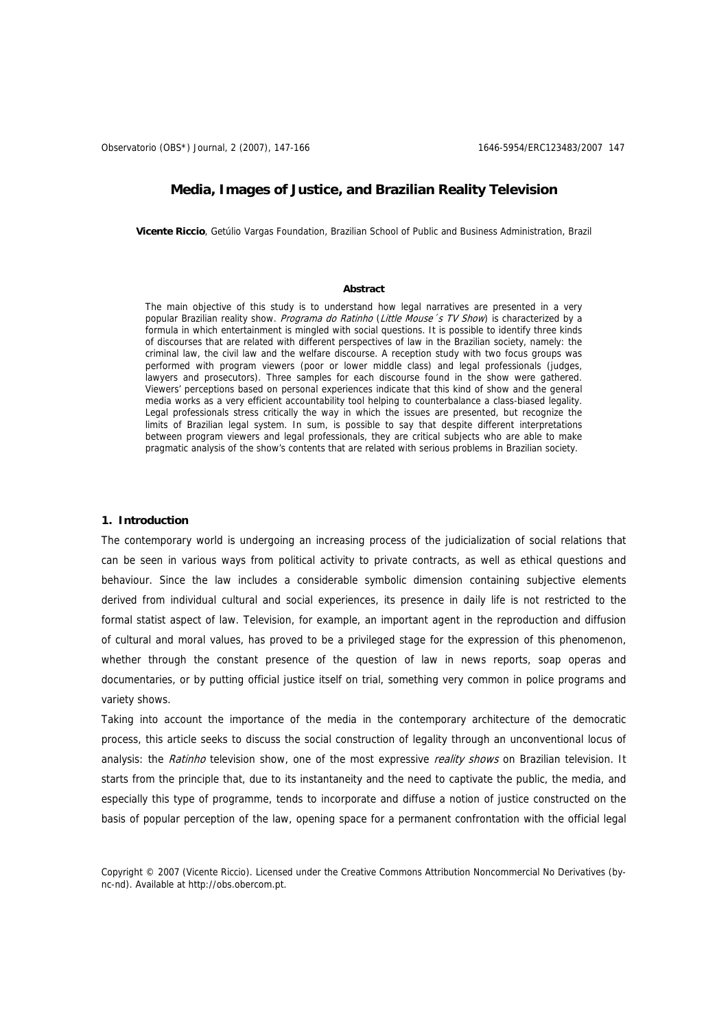# **Media, Images of Justice, and Brazilian Reality Television**

**Vicente Riccio**, Getúlio Vargas Foundation, Brazilian School of Public and Business Administration, Brazil

## **Abstract**

The main objective of this study is to understand how legal narratives are presented in a very popular Brazilian reality show. Programa do Ratinho (Little Mouse's TV Show) is characterized by a formula in which entertainment is mingled with social questions. It is possible to identify three kinds of discourses that are related with different perspectives of law in the Brazilian society, namely: the criminal law, the civil law and the welfare discourse. A reception study with two focus groups was performed with program viewers (poor or lower middle class) and legal professionals (judges, lawyers and prosecutors). Three samples for each discourse found in the show were gathered. Viewers' perceptions based on personal experiences indicate that this kind of show and the general media works as a very efficient accountability tool helping to counterbalance a class-biased legality. Legal professionals stress critically the way in which the issues are presented, but recognize the limits of Brazilian legal system. In sum, is possible to say that despite different interpretations between program viewers and legal professionals, they are critical subjects who are able to make pragmatic analysis of the show's contents that are related with serious problems in Brazilian society.

### **1. Introduction**

The contemporary world is undergoing an increasing process of the judicialization of social relations that can be seen in various ways from political activity to private contracts, as well as ethical questions and behaviour. Since the law includes a considerable symbolic dimension containing subjective elements derived from individual cultural and social experiences, its presence in daily life is not restricted to the formal statist aspect of law. Television, for example, an important agent in the reproduction and diffusion of cultural and moral values, has proved to be a privileged stage for the expression of this phenomenon, whether through the constant presence of the question of law in news reports, soap operas and documentaries, or by putting official justice itself on trial, something very common in police programs and variety shows.

Taking into account the importance of the media in the contemporary architecture of the democratic process, this article seeks to discuss the social construction of legality through an unconventional locus of analysis: the Ratinho television show, one of the most expressive reality shows on Brazilian television. It starts from the principle that, due to its instantaneity and the need to captivate the public, the media, and especially this type of programme, tends to incorporate and diffuse a notion of justice constructed on the basis of popular perception of the law, opening space for a permanent confrontation with the official legal

Copyright © 2007 (Vicente Riccio). Licensed under the Creative Commons Attribution Noncommercial No Derivatives (bync-nd). Available at http://obs.obercom.pt.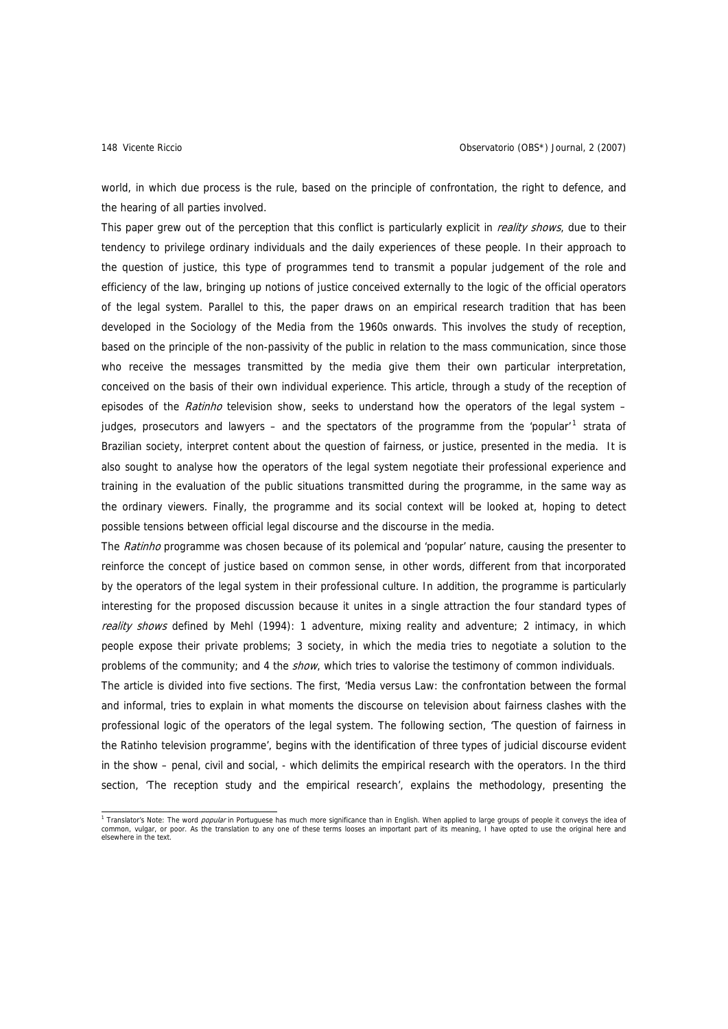world, in which due process is the rule, based on the principle of confrontation, the right to defence, and the hearing of all parties involved.

This paper grew out of the perception that this conflict is particularly explicit in *reality shows*, due to their tendency to privilege ordinary individuals and the daily experiences of these people. In their approach to the question of justice, this type of programmes tend to transmit a popular judgement of the role and efficiency of the law, bringing up notions of justice conceived externally to the logic of the official operators of the legal system. Parallel to this, the paper draws on an empirical research tradition that has been developed in the Sociology of the Media from the 1960s onwards. This involves the study of reception, based on the principle of the non-passivity of the public in relation to the mass communication, since those who receive the messages transmitted by the media give them their own particular interpretation, conceived on the basis of their own individual experience. This article, through a study of the reception of episodes of the Ratinho television show, seeks to understand how the operators of the legal system -judges, prosecutors and lawyers - and the spectators of the programme from the 'popular'<sup>[1](#page-1-0)</sup> strata of Brazilian society, interpret content about the question of fairness, or justice, presented in the media. It is also sought to analyse how the operators of the legal system negotiate their professional experience and training in the evaluation of the public situations transmitted during the programme, in the same way as the ordinary viewers. Finally, the programme and its social context will be looked at, hoping to detect possible tensions between official legal discourse and the discourse in the media.

The Ratinho programme was chosen because of its polemical and 'popular' nature, causing the presenter to reinforce the concept of justice based on common sense, in other words, different from that incorporated by the operators of the legal system in their professional culture. In addition, the programme is particularly interesting for the proposed discussion because it unites in a single attraction the four standard types of reality shows defined by Mehl (1994): 1 adventure, mixing reality and adventure; 2 intimacy, in which people expose their private problems; 3 society, in which the media tries to negotiate a solution to the problems of the community; and 4 the *show*, which tries to valorise the testimony of common individuals.

The article is divided into five sections. The first, 'Media versus Law: the confrontation between the formal and informal, tries to explain in what moments the discourse on television about fairness clashes with the professional logic of the operators of the legal system. The following section, 'The question of fairness in the Ratinho television programme', begins with the identification of three types of judicial discourse evident in the show – penal, civil and social, - which delimits the empirical research with the operators. In the third section, 'The reception study and the empirical research', explains the methodology, presenting the

<span id="page-1-0"></span><sup>1</sup> Translator's Note: The word *popular* in Portuguese has much more significance than in English. When applied to large groups of people it conveys the idea of common, vulgar, or poor. As the translation to any one of these terms looses an important part of its meaning, I have opted to use the original here and elsewhere in the text.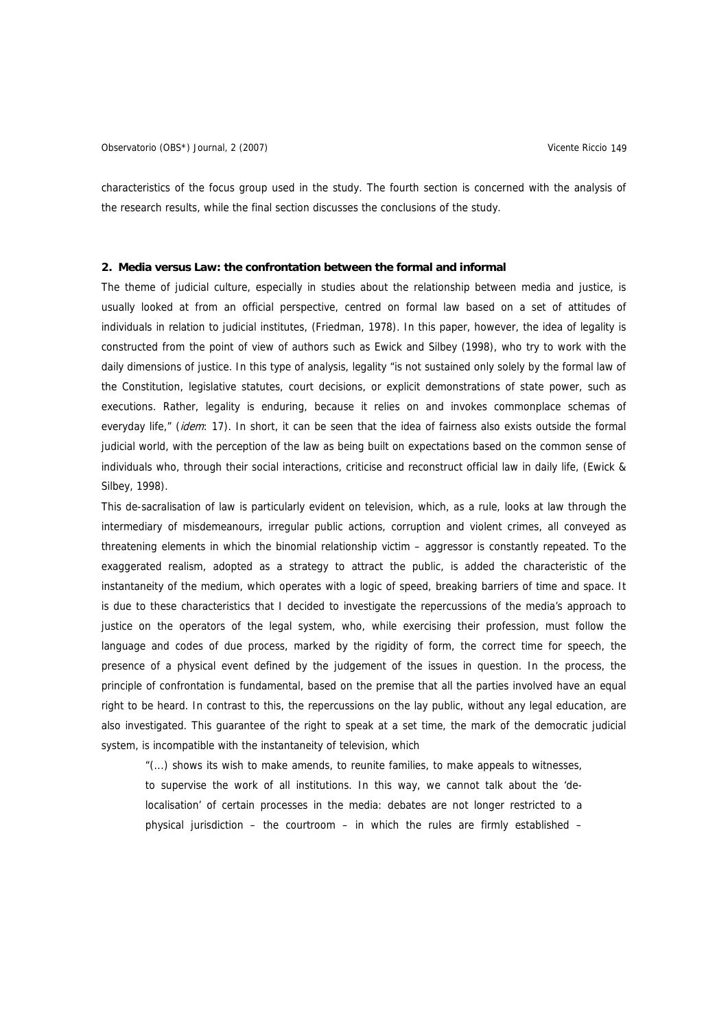characteristics of the focus group used in the study. The fourth section is concerned with the analysis of the research results, while the final section discusses the conclusions of the study.

### **2. Media versus Law: the confrontation between the formal and informal**

The theme of judicial culture, especially in studies about the relationship between media and justice, is usually looked at from an official perspective, centred on formal law based on a set of attitudes of individuals in relation to judicial institutes, (Friedman, 1978). In this paper, however, the idea of legality is constructed from the point of view of authors such as Ewick and Silbey (1998), who try to work with the daily dimensions of justice. In this type of analysis, legality "is not sustained only solely by the formal law of the Constitution, legislative statutes, court decisions, or explicit demonstrations of state power, such as executions. Rather, legality is enduring, because it relies on and invokes commonplace schemas of everyday life," (idem: 17). In short, it can be seen that the idea of fairness also exists outside the formal judicial world, with the perception of the law as being built on expectations based on the common sense of individuals who, through their social interactions, criticise and reconstruct official law in daily life, (Ewick & Silbey, 1998).

This de-sacralisation of law is particularly evident on television, which, as a rule, looks at law through the intermediary of misdemeanours, irregular public actions, corruption and violent crimes, all conveyed as threatening elements in which the binomial relationship victim – aggressor is constantly repeated. To the exaggerated realism, adopted as a strategy to attract the public, is added the characteristic of the instantaneity of the medium, which operates with a logic of speed, breaking barriers of time and space. It is due to these characteristics that I decided to investigate the repercussions of the media's approach to justice on the operators of the legal system, who, while exercising their profession, must follow the language and codes of due process, marked by the rigidity of form, the correct time for speech, the presence of a physical event defined by the judgement of the issues in question. In the process, the principle of confrontation is fundamental, based on the premise that all the parties involved have an equal right to be heard. In contrast to this, the repercussions on the lay public, without any legal education, are also investigated. This guarantee of the right to speak at a set time, the mark of the democratic judicial system, is incompatible with the instantaneity of television, which

"(...) shows its wish to make amends, to reunite families, to make appeals to witnesses, to supervise the work of all institutions. In this way, we cannot talk about the 'delocalisation' of certain processes in the media: debates are not longer restricted to a physical jurisdiction – the courtroom – in which the rules are firmly established –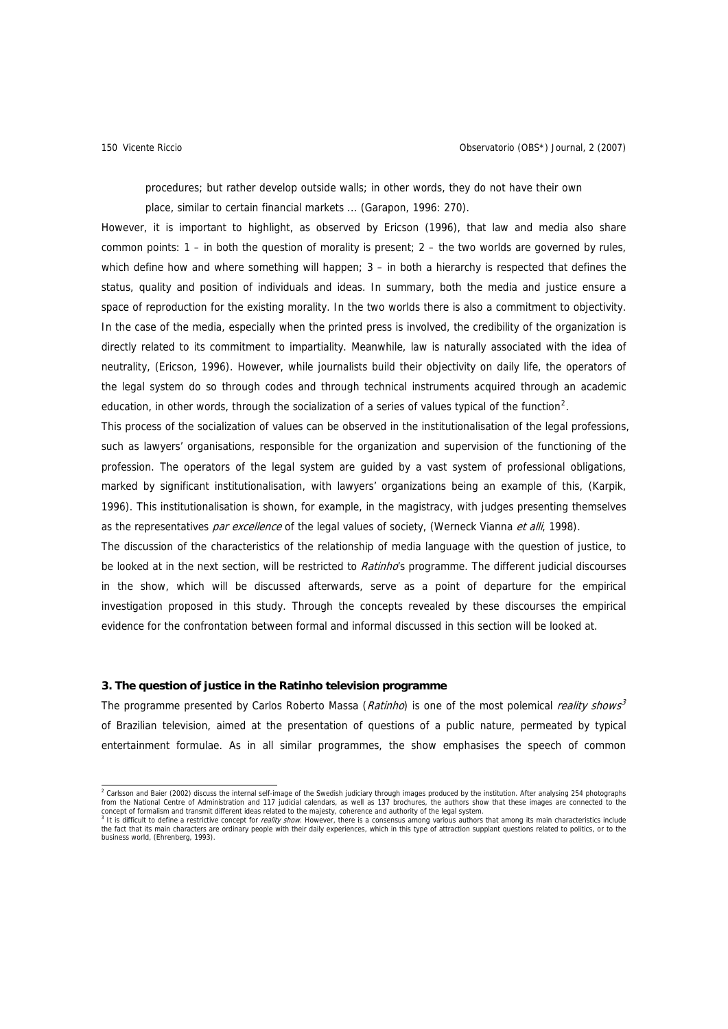procedures; but rather develop outside walls; in other words, they do not have their own place, similar to certain financial markets ... (Garapon, 1996: 270).

However, it is important to highlight, as observed by Ericson (1996), that law and media also share common points: 1 – in both the question of morality is present; 2 – the two worlds are governed by rules, which define how and where something will happen;  $3 -$  in both a hierarchy is respected that defines the status, quality and position of individuals and ideas. In summary, both the media and justice ensure a space of reproduction for the existing morality. In the two worlds there is also a commitment to objectivity. In the case of the media, especially when the printed press is involved, the credibility of the organization is directly related to its commitment to impartiality. Meanwhile, law is naturally associated with the idea of neutrality, (Ericson, 1996). However, while journalists build their objectivity on daily life, the operators of the legal system do so through codes and through technical instruments acquired through an academic education, in other words, through the socialization of a series of values typical of the function<sup>[2](#page-3-0)</sup>.

This process of the socialization of values can be observed in the institutionalisation of the legal professions, such as lawyers' organisations, responsible for the organization and supervision of the functioning of the profession. The operators of the legal system are guided by a vast system of professional obligations, marked by significant institutionalisation, with lawyers' organizations being an example of this, (Karpik, 1996). This institutionalisation is shown, for example, in the magistracy, with judges presenting themselves as the representatives par excellence of the legal values of society, (Werneck Vianna et alli, 1998).

The discussion of the characteristics of the relationship of media language with the question of justice, to be looked at in the next section, will be restricted to Ratinho's programme. The different judicial discourses in the show, which will be discussed afterwards, serve as a point of departure for the empirical investigation proposed in this study. Through the concepts revealed by these discourses the empirical evidence for the confrontation between formal and informal discussed in this section will be looked at.

## **3. The question of justice in the Ratinho television programme**

The programme presented by Carlos Roberto Massa (Ratinho) is one of the most polemical reality shows<sup>3</sup> of Brazilian television, aimed at the presentation of questions of a public nature, permeated by typical entertainment formulae. As in all similar programmes, the show emphasises the speech of common

<span id="page-3-0"></span>and the state of the State (2002) discuss the internal self-image of the Swedish judiciary through images produced by the institution. After analysing 254 photographs<br>Trom the National Centre of Administration and 117 judi concept of formalism and transmit different ideas related to the majesty, coherence and authority of the legal system.<br><sup>3</sup> It is difficult to define a restrictive concept for *reality show.* However, there is a consensus a

the fact that its main characters are ordinary people with their daily experiences, which in this type of attraction supplant questions related to politics, or to the business world, (Ehrenberg, 1993).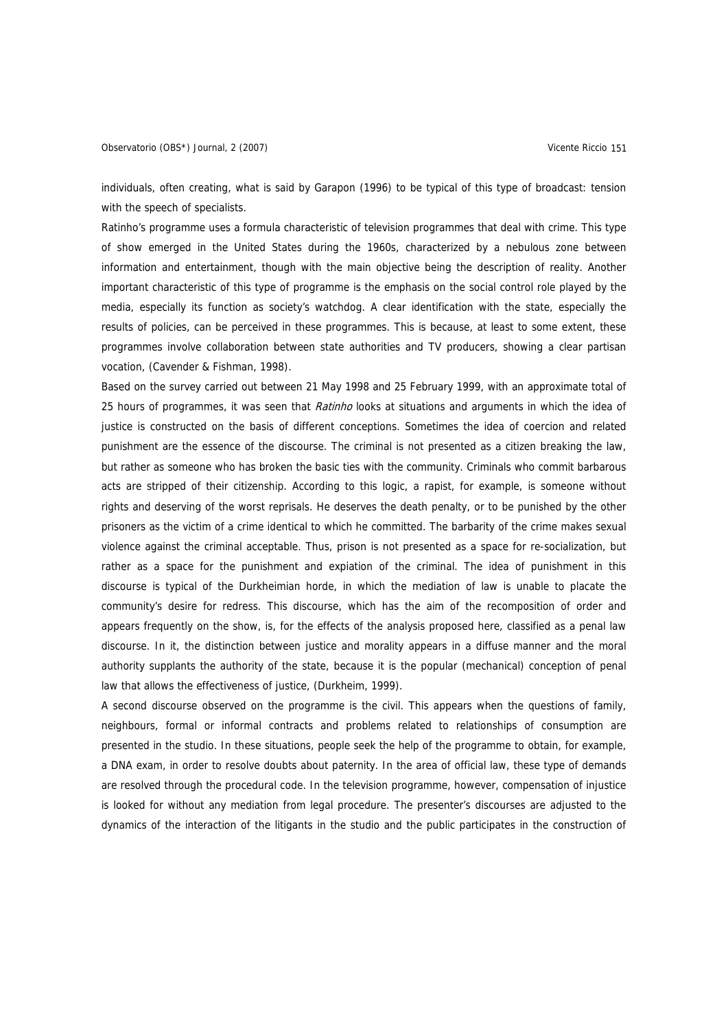individuals, often creating, what is said by Garapon (1996) to be typical of this type of broadcast: tension with the speech of specialists.

Ratinho's programme uses a formula characteristic of television programmes that deal with crime. This type of show emerged in the United States during the 1960s, characterized by a nebulous zone between information and entertainment, though with the main objective being the description of reality. Another important characteristic of this type of programme is the emphasis on the social control role played by the media, especially its function as society's watchdog. A clear identification with the state, especially the results of policies, can be perceived in these programmes. This is because, at least to some extent, these programmes involve collaboration between state authorities and TV producers, showing a clear partisan vocation, (Cavender & Fishman, 1998).

Based on the survey carried out between 21 May 1998 and 25 February 1999, with an approximate total of 25 hours of programmes, it was seen that Ratinho looks at situations and arguments in which the idea of justice is constructed on the basis of different conceptions. Sometimes the idea of coercion and related punishment are the essence of the discourse. The criminal is not presented as a citizen breaking the law, but rather as someone who has broken the basic ties with the community. Criminals who commit barbarous acts are stripped of their citizenship. According to this logic, a rapist, for example, is someone without rights and deserving of the worst reprisals. He deserves the death penalty, or to be punished by the other prisoners as the victim of a crime identical to which he committed. The barbarity of the crime makes sexual violence against the criminal acceptable. Thus, prison is not presented as a space for re-socialization, but rather as a space for the punishment and expiation of the criminal. The idea of punishment in this discourse is typical of the Durkheimian horde, in which the mediation of law is unable to placate the community's desire for redress. This discourse, which has the aim of the recomposition of order and appears frequently on the show, is, for the effects of the analysis proposed here, classified as a penal law discourse. In it, the distinction between justice and morality appears in a diffuse manner and the moral authority supplants the authority of the state, because it is the popular (mechanical) conception of penal law that allows the effectiveness of justice, (Durkheim, 1999).

A second discourse observed on the programme is the civil. This appears when the questions of family, neighbours, formal or informal contracts and problems related to relationships of consumption are presented in the studio. In these situations, people seek the help of the programme to obtain, for example, a DNA exam, in order to resolve doubts about paternity. In the area of official law, these type of demands are resolved through the procedural code. In the television programme, however, compensation of injustice is looked for without any mediation from legal procedure. The presenter's discourses are adjusted to the dynamics of the interaction of the litigants in the studio and the public participates in the construction of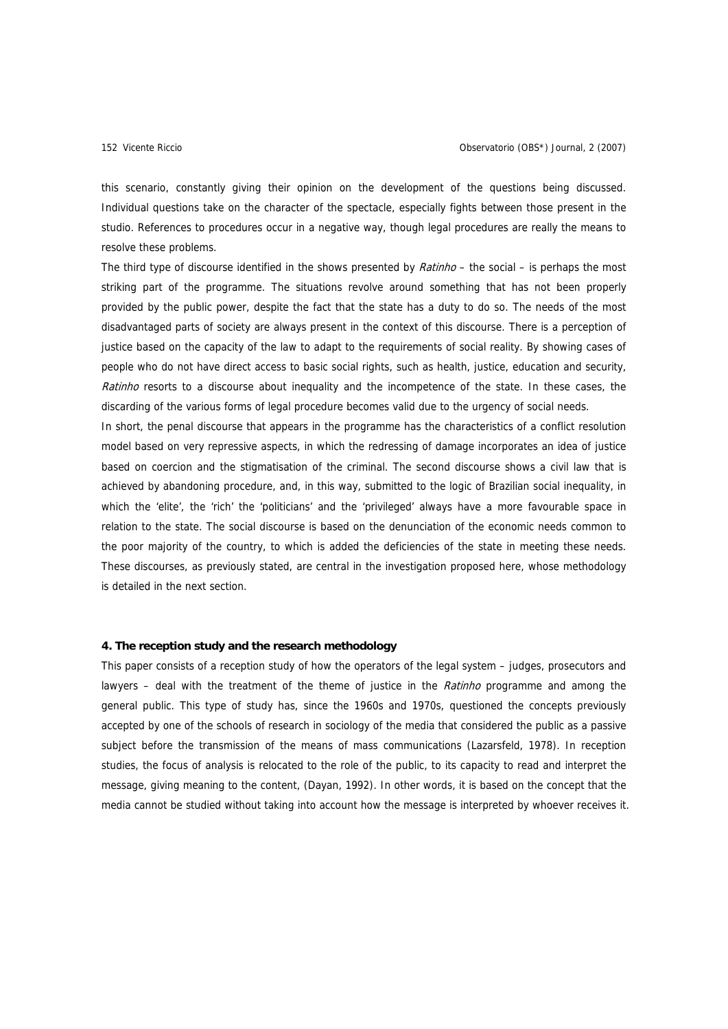this scenario, constantly giving their opinion on the development of the questions being discussed. Individual questions take on the character of the spectacle, especially fights between those present in the studio. References to procedures occur in a negative way, though legal procedures are really the means to resolve these problems.

The third type of discourse identified in the shows presented by *Ratinho* – the social – is perhaps the most striking part of the programme. The situations revolve around something that has not been properly provided by the public power, despite the fact that the state has a duty to do so. The needs of the most disadvantaged parts of society are always present in the context of this discourse. There is a perception of justice based on the capacity of the law to adapt to the requirements of social reality. By showing cases of people who do not have direct access to basic social rights, such as health, justice, education and security, Ratinho resorts to a discourse about inequality and the incompetence of the state. In these cases, the discarding of the various forms of legal procedure becomes valid due to the urgency of social needs.

In short, the penal discourse that appears in the programme has the characteristics of a conflict resolution model based on very repressive aspects, in which the redressing of damage incorporates an idea of justice based on coercion and the stigmatisation of the criminal. The second discourse shows a civil law that is achieved by abandoning procedure, and, in this way, submitted to the logic of Brazilian social inequality, in which the 'elite', the 'rich' the 'politicians' and the 'privileged' always have a more favourable space in relation to the state. The social discourse is based on the denunciation of the economic needs common to the poor majority of the country, to which is added the deficiencies of the state in meeting these needs. These discourses, as previously stated, are central in the investigation proposed here, whose methodology is detailed in the next section.

## **4. The reception study and the research methodology**

This paper consists of a reception study of how the operators of the legal system – judges, prosecutors and lawyers – deal with the treatment of the theme of justice in the Ratinho programme and among the general public. This type of study has, since the 1960s and 1970s, questioned the concepts previously accepted by one of the schools of research in sociology of the media that considered the public as a passive subject before the transmission of the means of mass communications (Lazarsfeld, 1978). In reception studies, the focus of analysis is relocated to the role of the public, to its capacity to read and interpret the message, giving meaning to the content, (Dayan, 1992). In other words, it is based on the concept that the media cannot be studied without taking into account how the message is interpreted by whoever receives it.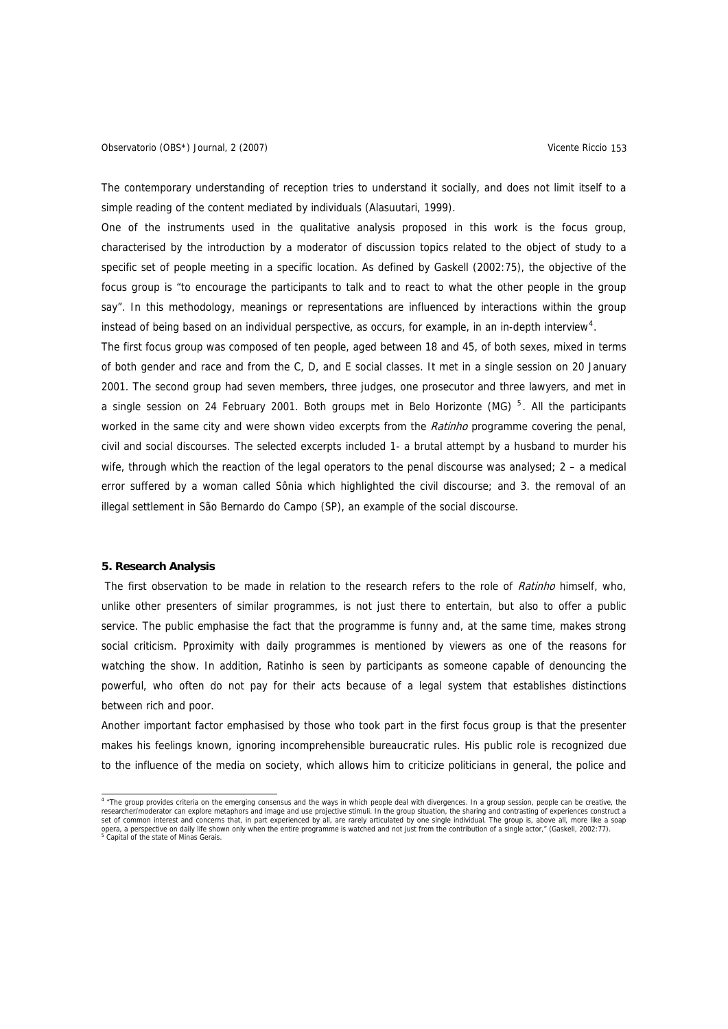The contemporary understanding of reception tries to understand it socially, and does not limit itself to a simple reading of the content mediated by individuals (Alasuutari, 1999).

One of the instruments used in the qualitative analysis proposed in this work is the focus group, characterised by the introduction by a moderator of discussion topics related to the object of study to a specific set of people meeting in a specific location. As defined by Gaskell (2002:75), the objective of the focus group is "to encourage the participants to talk and to react to what the other people in the group say". In this methodology, meanings or representations are influenced by interactions within the group instead of being based on an individual perspective, as occurs, for example, in an in-depth interview<sup>[4](#page-6-0)</sup>.

The first focus group was composed of ten people, aged between 18 and 45, of both sexes, mixed in terms of both gender and race and from the C, D, and E social classes. It met in a single session on 20 January 2001. The second group had seven members, three judges, one prosecutor and three lawyers, and met in a single session on 24 February 2001. Both groups met in Belo Horizonte (MG)  $<sup>5</sup>$  $<sup>5</sup>$  $<sup>5</sup>$ . All the participants</sup> worked in the same city and were shown video excerpts from the Ratinho programme covering the penal, civil and social discourses. The selected excerpts included 1- a brutal attempt by a husband to murder his wife, through which the reaction of the legal operators to the penal discourse was analysed; 2 – a medical error suffered by a woman called Sônia which highlighted the civil discourse; and 3. the removal of an illegal settlement in São Bernardo do Campo (SP), an example of the social discourse.

### **5. Research Analysis**

The first observation to be made in relation to the research refers to the role of Ratinho himself, who, unlike other presenters of similar programmes, is not just there to entertain, but also to offer a public service. The public emphasise the fact that the programme is funny and, at the same time, makes strong social criticism. Pproximity with daily programmes is mentioned by viewers as one of the reasons for watching the show. In addition, Ratinho is seen by participants as someone capable of denouncing the powerful, who often do not pay for their acts because of a legal system that establishes distinctions between rich and poor.

Another important factor emphasised by those who took part in the first focus group is that the presenter makes his feelings known, ignoring incomprehensible bureaucratic rules. His public role is recognized due to the influence of the media on society, which allows him to criticize politicians in general, the police and

<span id="page-6-1"></span><span id="page-6-0"></span> 4 "The group provides criteria on the emerging consensus and the ways in which people deal with divergences. In a group session, people can be creative, the researcher/moderator can explore metaphors and image and use projective stimuli. In the group situation, the sharing and contrasting of experiences construct a<br>opera, a perspective on daily life shown only when the entire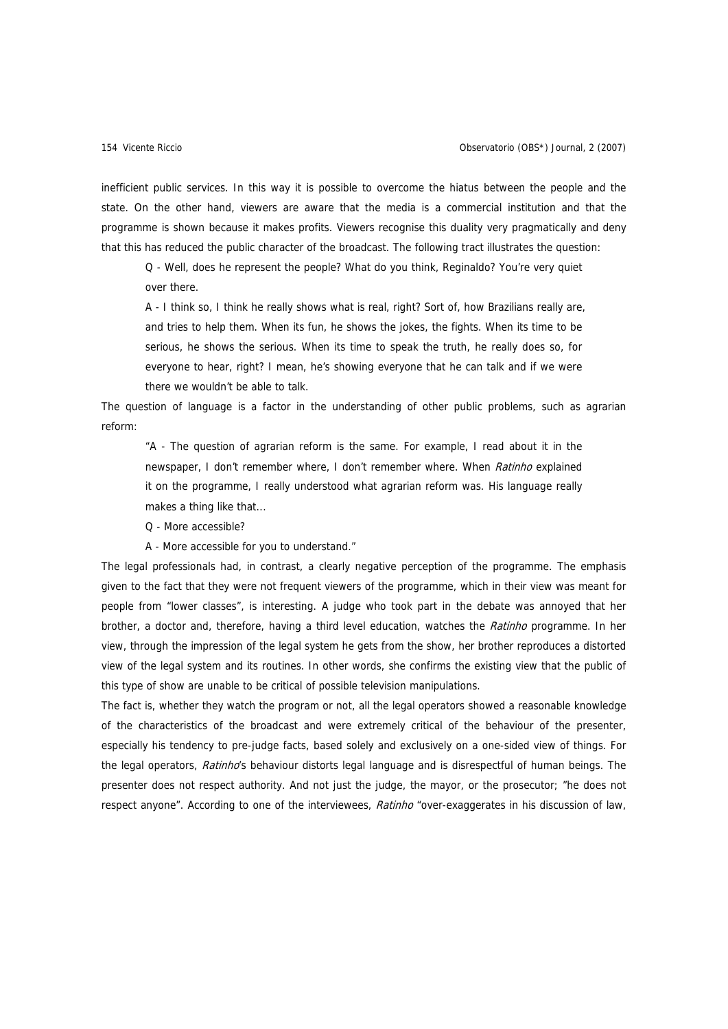inefficient public services. In this way it is possible to overcome the hiatus between the people and the state. On the other hand, viewers are aware that the media is a commercial institution and that the programme is shown because it makes profits. Viewers recognise this duality very pragmatically and deny that this has reduced the public character of the broadcast. The following tract illustrates the question:

Q - Well, does he represent the people? What do you think, Reginaldo? You're very quiet over there.

A - I think so, I think he really shows what is real, right? Sort of, how Brazilians really are, and tries to help them. When its fun, he shows the jokes, the fights. When its time to be serious, he shows the serious. When its time to speak the truth, he really does so, for everyone to hear, right? I mean, he's showing everyone that he can talk and if we were there we wouldn't be able to talk.

The question of language is a factor in the understanding of other public problems, such as agrarian reform:

"A - The question of agrarian reform is the same. For example, I read about it in the newspaper, I don't remember where, I don't remember where. When Ratinho explained it on the programme, I really understood what agrarian reform was. His language really makes a thing like that...

Q - More accessible?

A - More accessible for you to understand."

The legal professionals had, in contrast, a clearly negative perception of the programme. The emphasis given to the fact that they were not frequent viewers of the programme, which in their view was meant for people from "lower classes", is interesting. A judge who took part in the debate was annoyed that her brother, a doctor and, therefore, having a third level education, watches the Ratinho programme. In her view, through the impression of the legal system he gets from the show, her brother reproduces a distorted view of the legal system and its routines. In other words, she confirms the existing view that the public of this type of show are unable to be critical of possible television manipulations.

The fact is, whether they watch the program or not, all the legal operators showed a reasonable knowledge of the characteristics of the broadcast and were extremely critical of the behaviour of the presenter, especially his tendency to pre-judge facts, based solely and exclusively on a one-sided view of things. For the legal operators, Ratinho's behaviour distorts legal language and is disrespectful of human beings. The presenter does not respect authority. And not just the judge, the mayor, or the prosecutor; "he does not respect anyone". According to one of the interviewees, Ratinho "over-exaggerates in his discussion of law,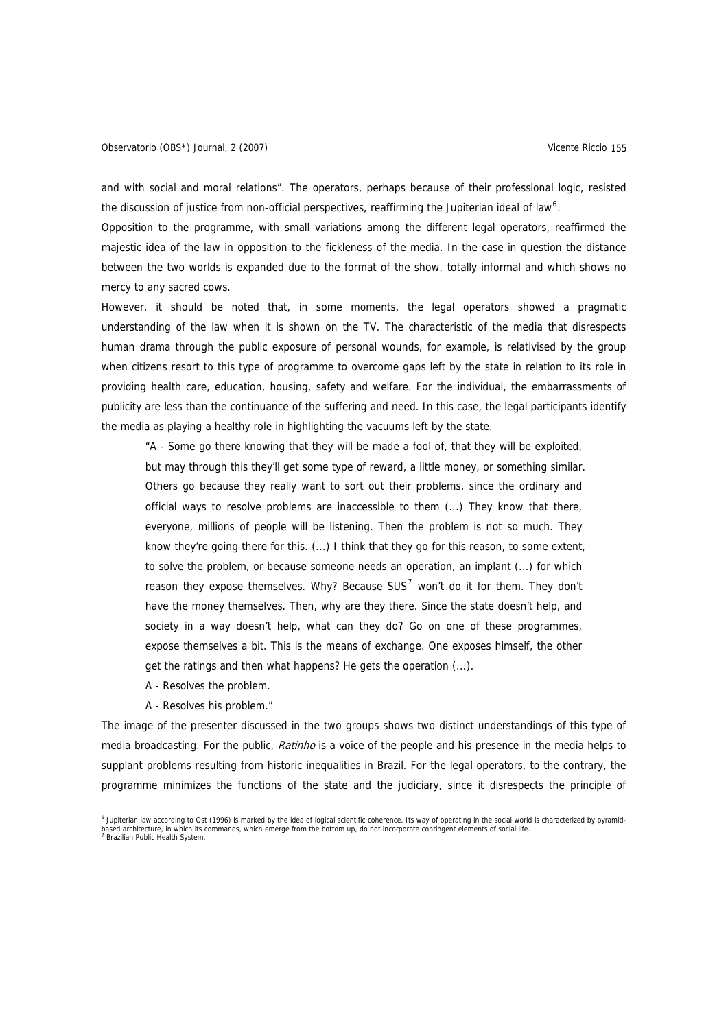and with social and moral relations". The operators, perhaps because of their professional logic, resisted the discussion of justice from non-official perspectives, reaffirming the Jupiterian ideal of law<sup>[6](#page-8-0)</sup>.

Opposition to the programme, with small variations among the different legal operators, reaffirmed the majestic idea of the law in opposition to the fickleness of the media. In the case in question the distance between the two worlds is expanded due to the format of the show, totally informal and which shows no mercy to any sacred cows.

However, it should be noted that, in some moments, the legal operators showed a pragmatic understanding of the law when it is shown on the TV. The characteristic of the media that disrespects human drama through the public exposure of personal wounds, for example, is relativised by the group when citizens resort to this type of programme to overcome gaps left by the state in relation to its role in providing health care, education, housing, safety and welfare. For the individual, the embarrassments of publicity are less than the continuance of the suffering and need. In this case, the legal participants identify the media as playing a healthy role in highlighting the vacuums left by the state.

"A - Some go there knowing that they will be made a fool of, that they will be exploited, but may through this they'll get some type of reward, a little money, or something similar. Others go because they really want to sort out their problems, since the ordinary and official ways to resolve problems are inaccessible to them (...) They know that there, everyone, millions of people will be listening. Then the problem is not so much. They know they're going there for this. (...) I think that they go for this reason, to some extent, to solve the problem, or because someone needs an operation, an implant (...) for which reason they expose themselves. Why? Because SUS<sup>[7](#page-8-1)</sup> won't do it for them. They don't have the money themselves. Then, why are they there. Since the state doesn't help, and society in a way doesn't help, what can they do? Go on one of these programmes, expose themselves a bit. This is the means of exchange. One exposes himself, the other get the ratings and then what happens? He gets the operation (...).

- A Resolves the problem.
- A Resolves his problem."

The image of the presenter discussed in the two groups shows two distinct understandings of this type of media broadcasting. For the public, *Ratinho* is a voice of the people and his presence in the media helps to supplant problems resulting from historic inequalities in Brazil. For the legal operators, to the contrary, the programme minimizes the functions of the state and the judiciary, since it disrespects the principle of

<span id="page-8-1"></span><span id="page-8-0"></span> 6 Jupiterian law according to Ost (1996) is marked by the idea of logical scientific coherence. Its way of operating in the social world is characterized by pyramidbased architecture, in which its commands, which emerge from the bottom up, do not incorporate contingent elements of social life. 7  $\frac{1}{2}$  Brazilian Public Health System.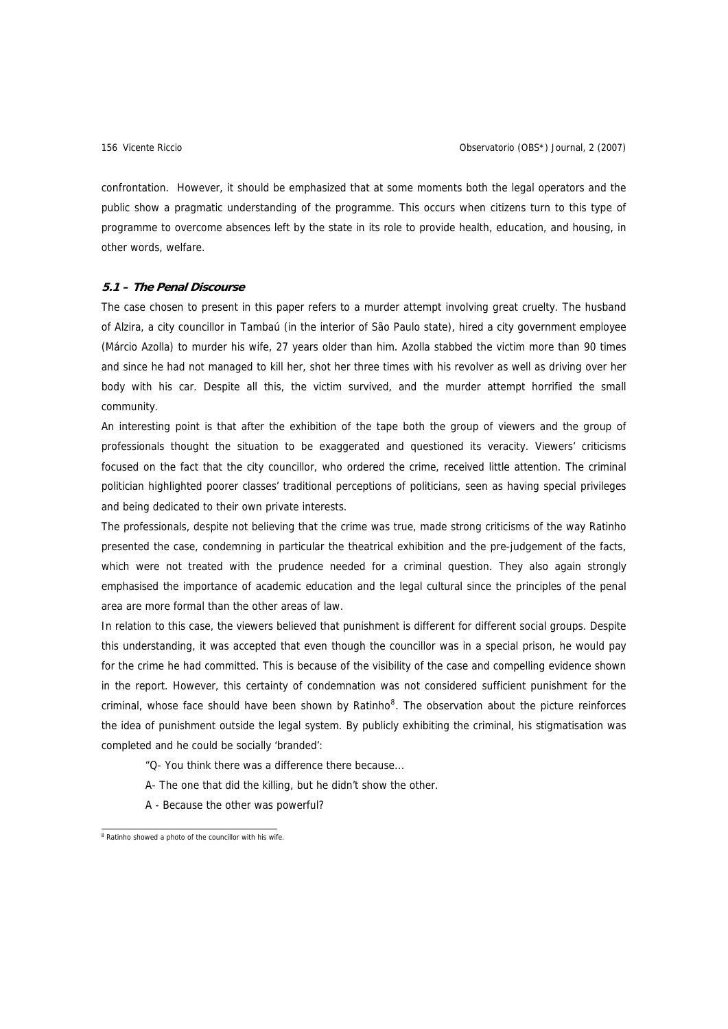confrontation. However, it should be emphasized that at some moments both the legal operators and the public show a pragmatic understanding of the programme. This occurs when citizens turn to this type of programme to overcome absences left by the state in its role to provide health, education, and housing, in other words, welfare.

## **5.1 – The Penal Discourse**

The case chosen to present in this paper refers to a murder attempt involving great cruelty. The husband of Alzira, a city councillor in Tambaú (in the interior of São Paulo state), hired a city government employee (Márcio Azolla) to murder his wife, 27 years older than him. Azolla stabbed the victim more than 90 times and since he had not managed to kill her, shot her three times with his revolver as well as driving over her body with his car. Despite all this, the victim survived, and the murder attempt horrified the small community.

An interesting point is that after the exhibition of the tape both the group of viewers and the group of professionals thought the situation to be exaggerated and questioned its veracity. Viewers' criticisms focused on the fact that the city councillor, who ordered the crime, received little attention. The criminal politician highlighted poorer classes' traditional perceptions of politicians, seen as having special privileges and being dedicated to their own private interests.

The professionals, despite not believing that the crime was true, made strong criticisms of the way Ratinho presented the case, condemning in particular the theatrical exhibition and the pre-judgement of the facts, which were not treated with the prudence needed for a criminal question. They also again strongly emphasised the importance of academic education and the legal cultural since the principles of the penal area are more formal than the other areas of law.

In relation to this case, the viewers believed that punishment is different for different social groups. Despite this understanding, it was accepted that even though the councillor was in a special prison, he would pay for the crime he had committed. This is because of the visibility of the case and compelling evidence shown in the report. However, this certainty of condemnation was not considered sufficient punishment for the criminal, whose face should have been shown by Ratinho<sup>[8](#page-9-0)</sup>. The observation about the picture reinforces the idea of punishment outside the legal system. By publicly exhibiting the criminal, his stigmatisation was completed and he could be socially 'branded':

"Q- You think there was a difference there because...

- A- The one that did the killing, but he didn't show the other.
- A Because the other was powerful?

<span id="page-9-0"></span><sup>&</sup>lt;sup>8</sup> Ratinho showed a photo of the councillor with his wife.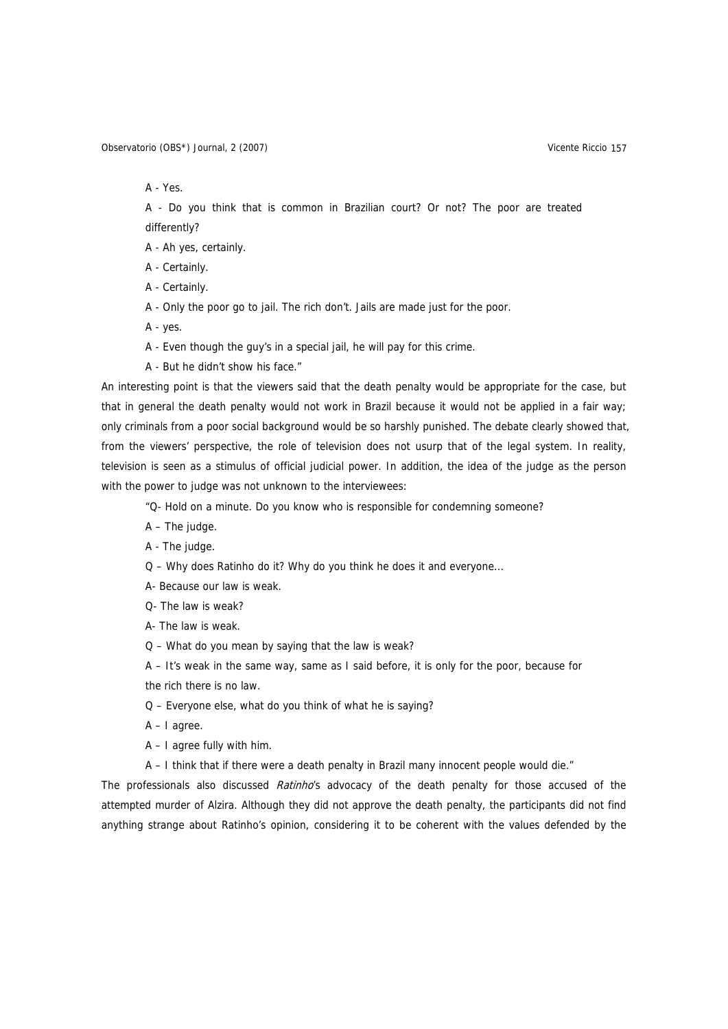Observatorio (OBS\*) Journal, 2 (2007) Vicente Riccio 157

A - Yes.

A - Do you think that is common in Brazilian court? Or not? The poor are treated differently?

A - Ah yes, certainly.

A - Certainly.

A - Certainly.

A - Only the poor go to jail. The rich don't. Jails are made just for the poor.

A - yes.

A - Even though the guy's in a special jail, he will pay for this crime.

A - But he didn't show his face."

An interesting point is that the viewers said that the death penalty would be appropriate for the case, but that in general the death penalty would not work in Brazil because it would not be applied in a fair way; only criminals from a poor social background would be so harshly punished. The debate clearly showed that, from the viewers' perspective, the role of television does not usurp that of the legal system. In reality, television is seen as a stimulus of official judicial power. In addition, the idea of the judge as the person with the power to judge was not unknown to the interviewees:

"Q- Hold on a minute. Do you know who is responsible for condemning someone?

A – The judge.

A - The judge.

Q – Why does Ratinho do it? Why do you think he does it and everyone...

A- Because our law is weak.

Q- The law is weak?

A- The law is weak.

Q – What do you mean by saying that the law is weak?

A – It's weak in the same way, same as I said before, it is only for the poor, because for

the rich there is no law.

Q – Everyone else, what do you think of what he is saying?

A – I agree.

A – I agree fully with him.

A – I think that if there were a death penalty in Brazil many innocent people would die."

The professionals also discussed *Ratinho*'s advocacy of the death penalty for those accused of the attempted murder of Alzira. Although they did not approve the death penalty, the participants did not find anything strange about Ratinho's opinion, considering it to be coherent with the values defended by the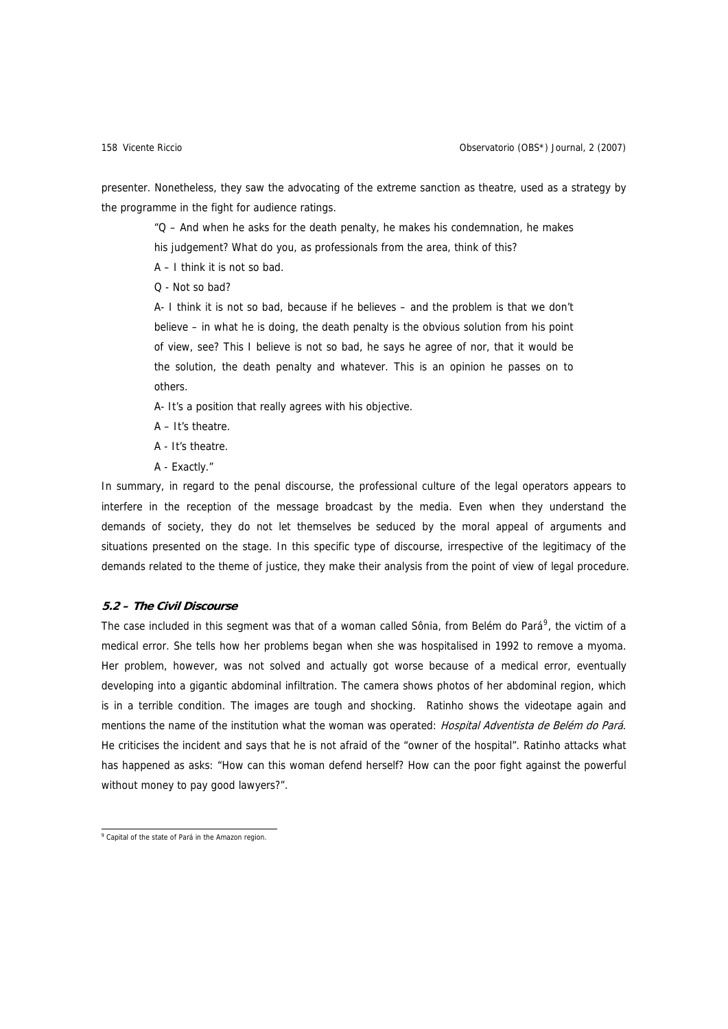presenter. Nonetheless, they saw the advocating of the extreme sanction as theatre, used as a strategy by the programme in the fight for audience ratings.

"Q – And when he asks for the death penalty, he makes his condemnation, he makes his judgement? What do you, as professionals from the area, think of this?

A – I think it is not so bad.

Q - Not so bad?

A- I think it is not so bad, because if he believes – and the problem is that we don't believe – in what he is doing, the death penalty is the obvious solution from his point of view, see? This I believe is not so bad, he says he agree of nor, that it would be the solution, the death penalty and whatever. This is an opinion he passes on to others.

A- It's a position that really agrees with his objective.

- A It's theatre.
- A It's theatre.
- A Exactly."

In summary, in regard to the penal discourse, the professional culture of the legal operators appears to interfere in the reception of the message broadcast by the media. Even when they understand the demands of society, they do not let themselves be seduced by the moral appeal of arguments and situations presented on the stage. In this specific type of discourse, irrespective of the legitimacy of the demands related to the theme of justice, they make their analysis from the point of view of legal procedure.

# **5.2 – The Civil Discourse**

The case included in this segment was that of a woman called Sônia, from Belém do Pará<sup>[9](#page-11-0)</sup>, the victim of a medical error. She tells how her problems began when she was hospitalised in 1992 to remove a myoma. Her problem, however, was not solved and actually got worse because of a medical error, eventually developing into a gigantic abdominal infiltration. The camera shows photos of her abdominal region, which is in a terrible condition. The images are tough and shocking. Ratinho shows the videotape again and mentions the name of the institution what the woman was operated: Hospital Adventista de Belém do Pará. He criticises the incident and says that he is not afraid of the "owner of the hospital". Ratinho attacks what has happened as asks: "How can this woman defend herself? How can the poor fight against the powerful without money to pay good lawyers?".

<span id="page-11-0"></span><sup>&</sup>lt;sup>9</sup> Capital of the state of Pará in the Amazon region.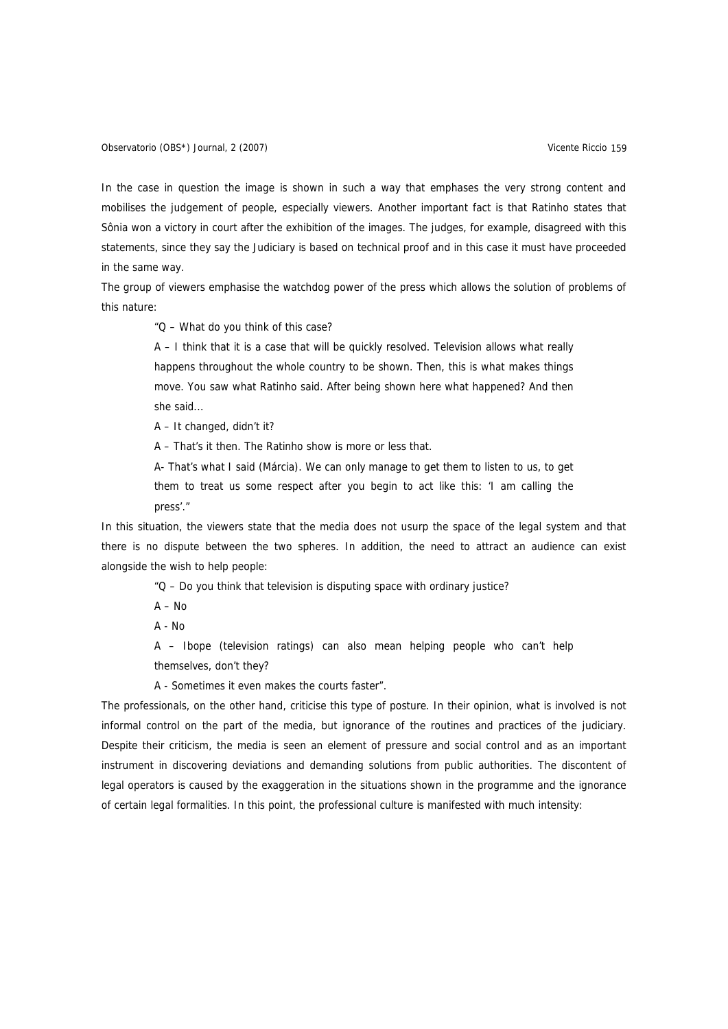Observatorio (OBS\*) Journal, 2 (2007) Vicente Riccio 159

In the case in question the image is shown in such a way that emphases the very strong content and mobilises the judgement of people, especially viewers. Another important fact is that Ratinho states that Sônia won a victory in court after the exhibition of the images. The judges, for example, disagreed with this statements, since they say the Judiciary is based on technical proof and in this case it must have proceeded in the same way.

The group of viewers emphasise the watchdog power of the press which allows the solution of problems of this nature:

"Q – What do you think of this case?

A – I think that it is a case that will be quickly resolved. Television allows what really happens throughout the whole country to be shown. Then, this is what makes things move. You saw what Ratinho said. After being shown here what happened? And then she said...

A – It changed, didn't it?

A – That's it then. The Ratinho show is more or less that.

A- That's what I said (Márcia). We can only manage to get them to listen to us, to get them to treat us some respect after you begin to act like this: 'I am calling the press'."

In this situation, the viewers state that the media does not usurp the space of the legal system and that there is no dispute between the two spheres. In addition, the need to attract an audience can exist alongside the wish to help people:

"Q – Do you think that television is disputing space with ordinary justice?

A – No

 $A - N_0$ 

A – Ibope (television ratings) can also mean helping people who can't help themselves, don't they?

A - Sometimes it even makes the courts faster".

The professionals, on the other hand, criticise this type of posture. In their opinion, what is involved is not informal control on the part of the media, but ignorance of the routines and practices of the judiciary. Despite their criticism, the media is seen an element of pressure and social control and as an important instrument in discovering deviations and demanding solutions from public authorities. The discontent of legal operators is caused by the exaggeration in the situations shown in the programme and the ignorance of certain legal formalities. In this point, the professional culture is manifested with much intensity: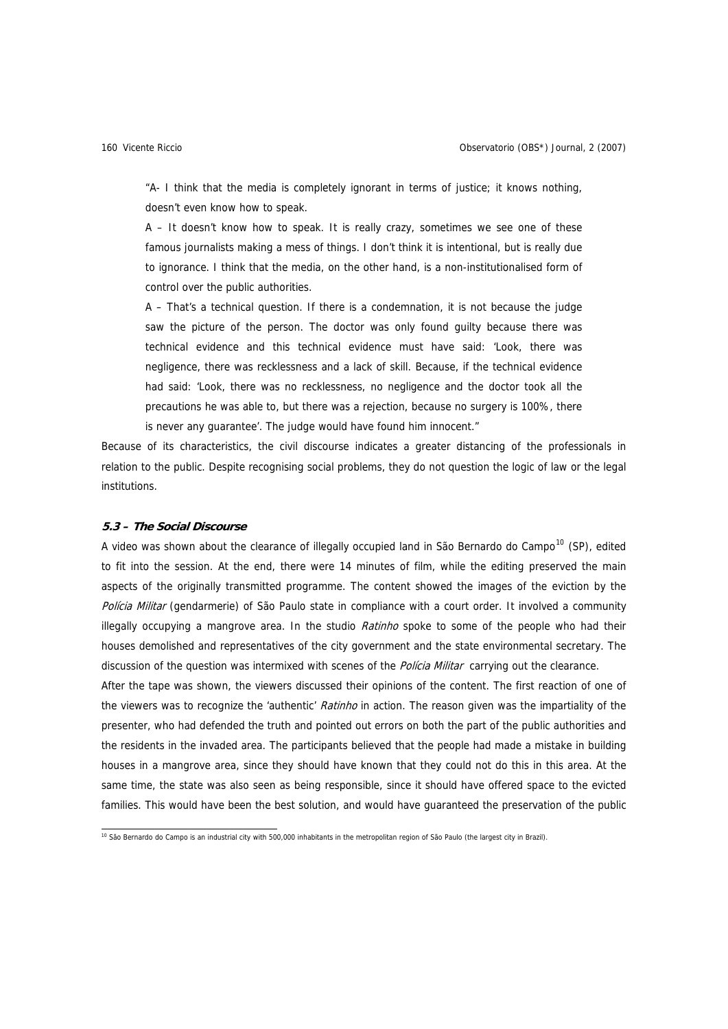"A- I think that the media is completely ignorant in terms of justice; it knows nothing, doesn't even know how to speak.

A – It doesn't know how to speak. It is really crazy, sometimes we see one of these famous journalists making a mess of things. I don't think it is intentional, but is really due to ignorance. I think that the media, on the other hand, is a non-institutionalised form of control over the public authorities.

A – That's a technical question. If there is a condemnation, it is not because the judge saw the picture of the person. The doctor was only found guilty because there was technical evidence and this technical evidence must have said: 'Look, there was negligence, there was recklessness and a lack of skill. Because, if the technical evidence had said: 'Look, there was no recklessness, no negligence and the doctor took all the precautions he was able to, but there was a rejection, because no surgery is 100%, there is never any guarantee'. The judge would have found him innocent."

Because of its characteristics, the civil discourse indicates a greater distancing of the professionals in relation to the public. Despite recognising social problems, they do not question the logic of law or the legal institutions.

# **5.3 – The Social Discourse**

A video was shown about the clearance of illegally occupied land in São Bernardo do Campo<sup>[10](#page-13-0)</sup> (SP), edited to fit into the session. At the end, there were 14 minutes of film, while the editing preserved the main aspects of the originally transmitted programme. The content showed the images of the eviction by the Polícia Militar (gendarmerie) of São Paulo state in compliance with a court order. It involved a community illegally occupying a mangrove area. In the studio Ratinho spoke to some of the people who had their houses demolished and representatives of the city government and the state environmental secretary. The discussion of the question was intermixed with scenes of the *Policia Militar* carrying out the clearance.

After the tape was shown, the viewers discussed their opinions of the content. The first reaction of one of the viewers was to recognize the 'authentic' *Ratinho* in action. The reason given was the impartiality of the presenter, who had defended the truth and pointed out errors on both the part of the public authorities and the residents in the invaded area. The participants believed that the people had made a mistake in building houses in a mangrove area, since they should have known that they could not do this in this area. At the same time, the state was also seen as being responsible, since it should have offered space to the evicted families. This would have been the best solution, and would have guaranteed the preservation of the public

<span id="page-13-0"></span><sup>&</sup>lt;sup>10</sup> São Bernardo do Campo is an industrial city with 500,000 inhabitants in the metropolitan region of São Paulo (the largest city in Brazil).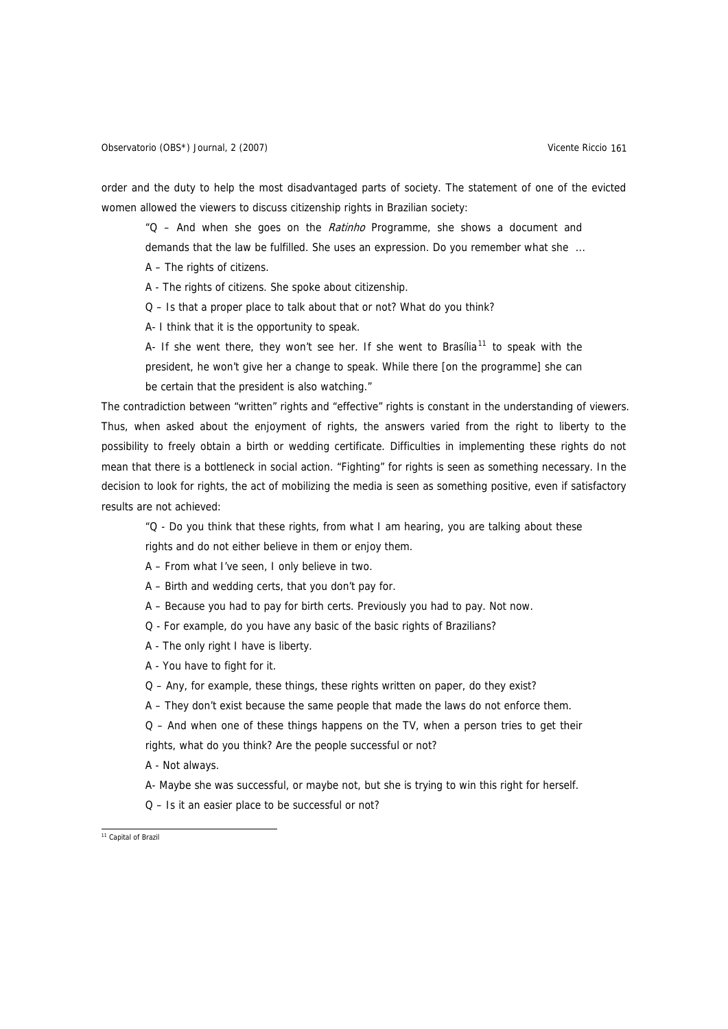order and the duty to help the most disadvantaged parts of society. The statement of one of the evicted women allowed the viewers to discuss citizenship rights in Brazilian society:

"Q – And when she goes on the Ratinho Programme, she shows a document and demands that the law be fulfilled. She uses an expression. Do you remember what she ...

A – The rights of citizens.

A - The rights of citizens. She spoke about citizenship.

Q – Is that a proper place to talk about that or not? What do you think?

A- I think that it is the opportunity to speak.

A- If she went there, they won't see her. If she went to Brasília<sup>[11](#page-14-0)</sup> to speak with the president, he won't give her a change to speak. While there [on the programme] she can be certain that the president is also watching."

The contradiction between "written" rights and "effective" rights is constant in the understanding of viewers. Thus, when asked about the enjoyment of rights, the answers varied from the right to liberty to the possibility to freely obtain a birth or wedding certificate. Difficulties in implementing these rights do not mean that there is a bottleneck in social action. "Fighting" for rights is seen as something necessary. In the decision to look for rights, the act of mobilizing the media is seen as something positive, even if satisfactory results are not achieved:

"Q - Do you think that these rights, from what I am hearing, you are talking about these

rights and do not either believe in them or enjoy them.

A – From what I've seen, I only believe in two.

A – Birth and wedding certs, that you don't pay for.

- A Because you had to pay for birth certs. Previously you had to pay. Not now.
- Q For example, do you have any basic of the basic rights of Brazilians?
- A The only right I have is liberty.
- A You have to fight for it.
- Q Any, for example, these things, these rights written on paper, do they exist?
- A They don't exist because the same people that made the laws do not enforce them.
- Q And when one of these things happens on the TV, when a person tries to get their
- rights, what do you think? Are the people successful or not?

A - Not always.

- A- Maybe she was successful, or maybe not, but she is trying to win this right for herself.
- Q Is it an easier place to be successful or not?

<span id="page-14-0"></span><sup>&</sup>lt;sup>11</sup> Capital of Brazil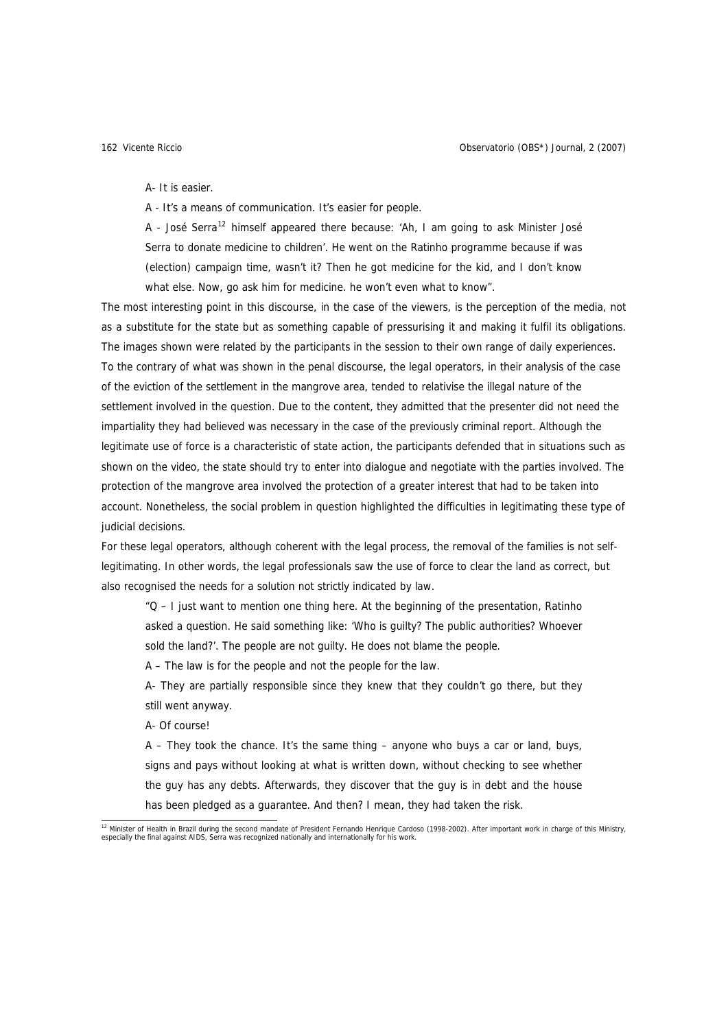A- It is easier.

A - It's a means of communication. It's easier for people.

A - José Serra<sup>[12](#page-15-0)</sup> himself appeared there because: 'Ah, I am going to ask Minister José Serra to donate medicine to children'. He went on the Ratinho programme because if was (election) campaign time, wasn't it? Then he got medicine for the kid, and I don't know what else. Now, go ask him for medicine. he won't even what to know".

The most interesting point in this discourse, in the case of the viewers, is the perception of the media, not as a substitute for the state but as something capable of pressurising it and making it fulfil its obligations. The images shown were related by the participants in the session to their own range of daily experiences. To the contrary of what was shown in the penal discourse, the legal operators, in their analysis of the case of the eviction of the settlement in the mangrove area, tended to relativise the illegal nature of the settlement involved in the question. Due to the content, they admitted that the presenter did not need the impartiality they had believed was necessary in the case of the previously criminal report. Although the legitimate use of force is a characteristic of state action, the participants defended that in situations such as shown on the video, the state should try to enter into dialogue and negotiate with the parties involved. The protection of the mangrove area involved the protection of a greater interest that had to be taken into account. Nonetheless, the social problem in question highlighted the difficulties in legitimating these type of judicial decisions.

For these legal operators, although coherent with the legal process, the removal of the families is not selflegitimating. In other words, the legal professionals saw the use of force to clear the land as correct, but also recognised the needs for a solution not strictly indicated by law.

"Q – I just want to mention one thing here. At the beginning of the presentation, Ratinho asked a question. He said something like: 'Who is guilty? The public authorities? Whoever sold the land?'. The people are not guilty. He does not blame the people.

A – The law is for the people and not the people for the law.

A- They are partially responsible since they knew that they couldn't go there, but they still went anyway.

A- Of course!

A – They took the chance. It's the same thing – anyone who buys a car or land, buys, signs and pays without looking at what is written down, without checking to see whether the guy has any debts. Afterwards, they discover that the guy is in debt and the house has been pledged as a guarantee. And then? I mean, they had taken the risk.

<span id="page-15-0"></span> 12 Minister of Health in Brazil during the second mandate of President Fernando Henrique Cardoso (1998-2002). After important work in charge of this Ministry, especially the final against AIDS, Serra was recognized nationally and internationally for his work.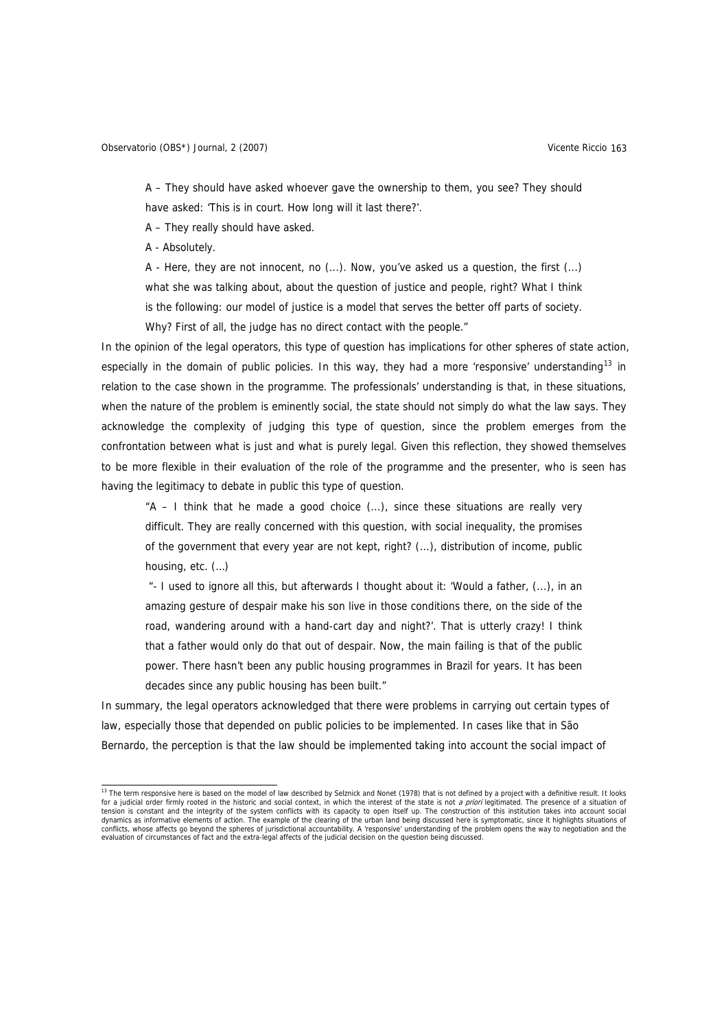A – They should have asked whoever gave the ownership to them, you see? They should have asked: 'This is in court. How long will it last there?'.

A – They really should have asked.

A - Absolutely.

A - Here, they are not innocent, no (...). Now, you've asked us a question, the first (...) what she was talking about, about the question of justice and people, right? What I think is the following: our model of justice is a model that serves the better off parts of society.

Why? First of all, the judge has no direct contact with the people."

In the opinion of the legal operators, this type of question has implications for other spheres of state action, especially in the domain of public policies. In this way, they had a more 'responsive' understanding<sup>[13](#page-16-0)</sup> in relation to the case shown in the programme. The professionals' understanding is that, in these situations, when the nature of the problem is eminently social, the state should not simply do what the law says. They acknowledge the complexity of judging this type of question, since the problem emerges from the confrontation between what is just and what is purely legal. Given this reflection, they showed themselves to be more flexible in their evaluation of the role of the programme and the presenter, who is seen has having the legitimacy to debate in public this type of question.

"A – I think that he made a good choice (...), since these situations are really very difficult. They are really concerned with this question, with social inequality, the promises of the government that every year are not kept, right? (...), distribution of income, public housing, etc. (…)

 "- I used to ignore all this, but afterwards I thought about it: 'Would a father, (...), in an amazing gesture of despair make his son live in those conditions there, on the side of the road, wandering around with a hand-cart day and night?'. That is utterly crazy! I think that a father would only do that out of despair. Now, the main failing is that of the public power. There hasn't been any public housing programmes in Brazil for years. It has been decades since any public housing has been built."

In summary, the legal operators acknowledged that there were problems in carrying out certain types of law, especially those that depended on public policies to be implemented. In cases like that in São Bernardo, the perception is that the law should be implemented taking into account the social impact of

<span id="page-16-0"></span><sup>13</sup> The term responsive here is based on the model of law described by Selznick and Nonet (1978) that is not defined by a project with a definitive result. It looks for a judicial order firmly rooted in the historic and social context, in which the interest of the state is not a priori legitimated. The presence of a situation of tension is constant and the integrity of the system conflicts with its capacity to open itself up. The construction of this institution takes into account social dynamics as informative elements of action. The example of the clearing of the urban land being discussed here is symptomatic, since it highlights situations of conflicts, whose affects go beyond the spheres of jurisdictional accountability. A 'responsive' understanding of the problem opens the way to negotiation and the<br>evaluation of circumstances of fact and the extra-legal affe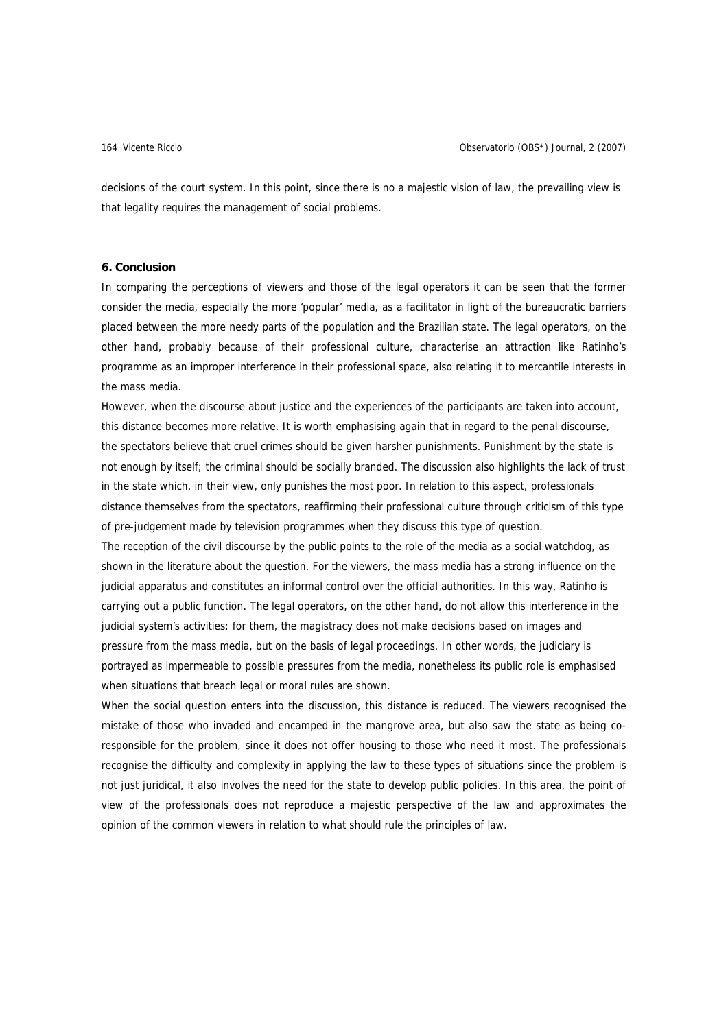decisions of the court system. In this point, since there is no a majestic vision of law, the prevailing view is that legality requires the management of social problems.

## **6. Conclusion**

In comparing the perceptions of viewers and those of the legal operators it can be seen that the former consider the media, especially the more 'popular' media, as a facilitator in light of the bureaucratic barriers placed between the more needy parts of the population and the Brazilian state. The legal operators, on the other hand, probably because of their professional culture, characterise an attraction like Ratinho's programme as an improper interference in their professional space, also relating it to mercantile interests in the mass media.

However, when the discourse about justice and the experiences of the participants are taken into account, this distance becomes more relative. It is worth emphasising again that in regard to the penal discourse, the spectators believe that cruel crimes should be given harsher punishments. Punishment by the state is not enough by itself; the criminal should be socially branded. The discussion also highlights the lack of trust in the state which, in their view, only punishes the most poor. In relation to this aspect, professionals distance themselves from the spectators, reaffirming their professional culture through criticism of this type of pre-judgement made by television programmes when they discuss this type of question.

The reception of the civil discourse by the public points to the role of the media as a social watchdog, as shown in the literature about the question. For the viewers, the mass media has a strong influence on the judicial apparatus and constitutes an informal control over the official authorities. In this way, Ratinho is carrying out a public function. The legal operators, on the other hand, do not allow this interference in the judicial system's activities: for them, the magistracy does not make decisions based on images and pressure from the mass media, but on the basis of legal proceedings. In other words, the judiciary is portrayed as impermeable to possible pressures from the media, nonetheless its public role is emphasised when situations that breach legal or moral rules are shown.

When the social question enters into the discussion, this distance is reduced. The viewers recognised the mistake of those who invaded and encamped in the mangrove area, but also saw the state as being coresponsible for the problem, since it does not offer housing to those who need it most. The professionals recognise the difficulty and complexity in applying the law to these types of situations since the problem is not just juridical, it also involves the need for the state to develop public policies. In this area, the point of view of the professionals does not reproduce a majestic perspective of the law and approximates the opinion of the common viewers in relation to what should rule the principles of law.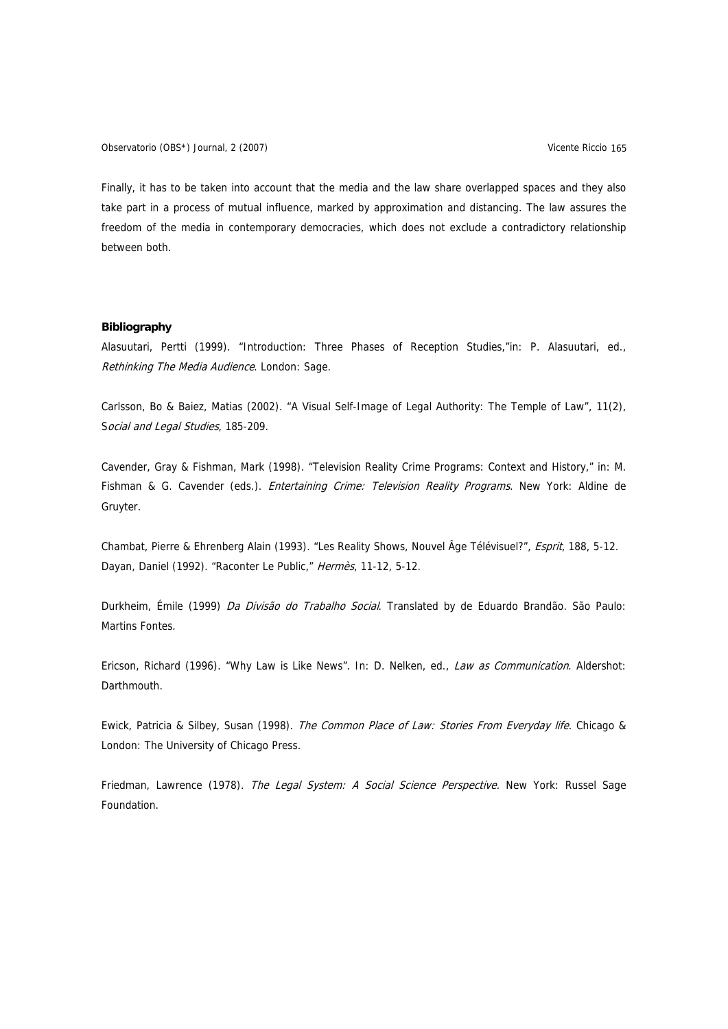Observatorio (OBS\*) Journal, 2 (2007) Vicente Riccio 165

Finally, it has to be taken into account that the media and the law share overlapped spaces and they also take part in a process of mutual influence, marked by approximation and distancing. The law assures the freedom of the media in contemporary democracies, which does not exclude a contradictory relationship between both.

# **Bibliography**

Alasuutari, Pertti (1999). "Introduction: Three Phases of Reception Studies,"in: P. Alasuutari, ed., Rethinking The Media Audience. London: Sage.

Carlsson, Bo & Baiez, Matias (2002). "A Visual Self-Image of Legal Authority: The Temple of Law", 11(2), Social and Legal Studies, 185-209.

Cavender, Gray & Fishman, Mark (1998). "Television Reality Crime Programs: Context and History," in: M. Fishman & G. Cavender (eds.). *Entertaining Crime: Television Reality Programs*. New York: Aldine de Gruyter.

Chambat, Pierre & Ehrenberg Alain (1993). "Les Reality Shows, Nouvel Âge Télévisuel?", Esprit, 188, 5-12. Dayan, Daniel (1992). "Raconter Le Public," Hermès, 11-12, 5-12.

Durkheim, Émile (1999) Da Divisão do Trabalho Social. Translated by de Eduardo Brandão. São Paulo: Martins Fontes.

Ericson, Richard (1996). "Why Law is Like News". In: D. Nelken, ed., Law as Communication. Aldershot: Darthmouth.

Ewick, Patricia & Silbey, Susan (1998). The Common Place of Law: Stories From Everyday life. Chicago & London: The University of Chicago Press.

Friedman, Lawrence (1978). The Legal System: A Social Science Perspective. New York: Russel Sage Foundation.